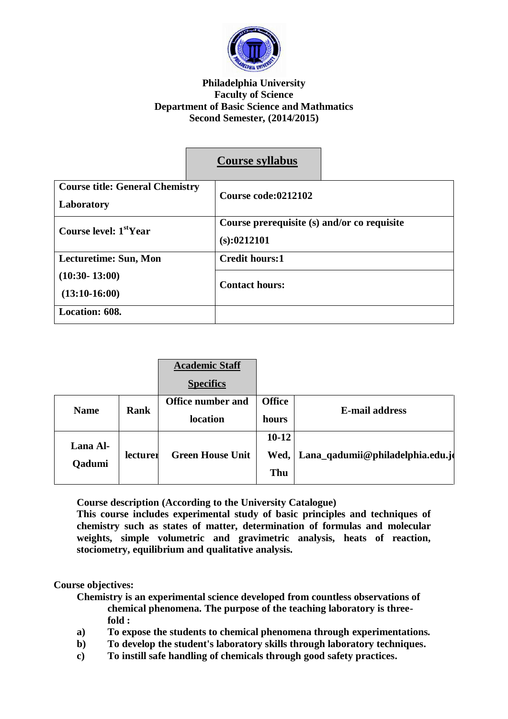

### **Philadelphia University Faculty of Science Department of Basic Science and Mathmatics Second Semester, (2014/2015)**

|                                                      | <b>Course syllabus</b>                                      |  |
|------------------------------------------------------|-------------------------------------------------------------|--|
| <b>Course title: General Chemistry</b><br>Laboratory | Course code:0212102                                         |  |
| Course level: 1 <sup>st</sup> Year                   | Course prerequisite (s) and/or co requisite<br>(s): 0212101 |  |
| Lecturetime: Sun, Mon                                | <b>Credit hours:1</b>                                       |  |
| $(10:30 - 13:00)$<br>$(13:10-16:00)$                 | <b>Contact hours:</b>                                       |  |
| Location: 608.                                       |                                                             |  |

|                            |                          | <b>Academic Staff</b>   |                       |                                  |
|----------------------------|--------------------------|-------------------------|-----------------------|----------------------------------|
|                            |                          | <b>Specifics</b>        |                       |                                  |
| <b>Rank</b><br><b>Name</b> | <b>Office number and</b> | <b>Office</b>           | <b>E-mail address</b> |                                  |
|                            |                          | location                | hours                 |                                  |
| Lana Al-                   |                          |                         | $10 - 12$             |                                  |
| Qadumi                     | lecturer                 | <b>Green House Unit</b> | Wed,                  | Lana_qadumii@philadelphia.edu.jo |
|                            |                          |                         | Thu                   |                                  |

**Course description (According to the University Catalogue)**

**This course includes experimental study of basic principles and techniques of chemistry such as states of matter, determination of formulas and molecular weights, simple volumetric and gravimetric analysis, heats of reaction, stociometry, equilibrium and qualitative analysis.**

# **Course objectives:**

**Chemistry is an experimental science developed from countless observations of chemical phenomena. The purpose of the teaching laboratory is threefold :**

- **a) To expose the students to chemical phenomena through experimentations.**
- **b) To develop the student's laboratory skills through laboratory techniques.**
- **c) To instill safe handling of chemicals through good safety practices.**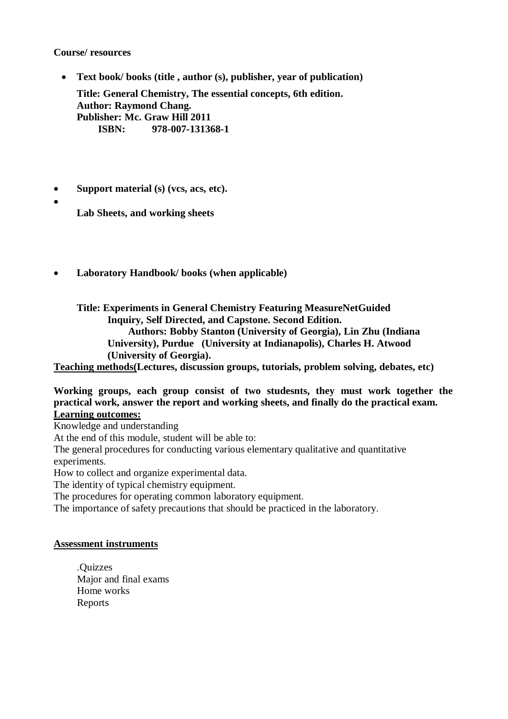### **Course/ resources**

 $\bullet$ 

- **Text book/ books (title , author (s), publisher, year of publication) Title: General Chemistry, The essential concepts, 6th edition. Author: Raymond Chang. Publisher: Mc. Graw Hill 2011 ISBN: 978-007-131368-1**
- **Support material (s) (vcs, acs, etc).**

**Lab Sheets, and working sheets**

**Laboratory Handbook/ books (when applicable)**

**Title: Experiments in General Chemistry Featuring MeasureNetGuided Inquiry, Self Directed, and Capstone. Second Edition. Authors: Bobby Stanton (University of Georgia), Lin Zhu (Indiana University), Purdue (University at Indianapolis), Charles H. Atwood (University of Georgia).**

**Teaching methods(Lectures, discussion groups, tutorials, problem solving, debates, etc)**

#### **Working groups, each group consist of two studesnts, they must work together the practical work, answer the report and working sheets, and finally do the practical exam. Learning outcomes:**

Knowledge and understanding

At the end of this module, student will be able to:

The general procedures for conducting various elementary qualitative and quantitative experiments.

How to collect and organize experimental data.

The identity of typical chemistry equipment.

The procedures for operating common laboratory equipment.

The importance of safety precautions that should be practiced in the laboratory.

#### **Assessment instruments**

.Quizzes Major and final exams Home works Reports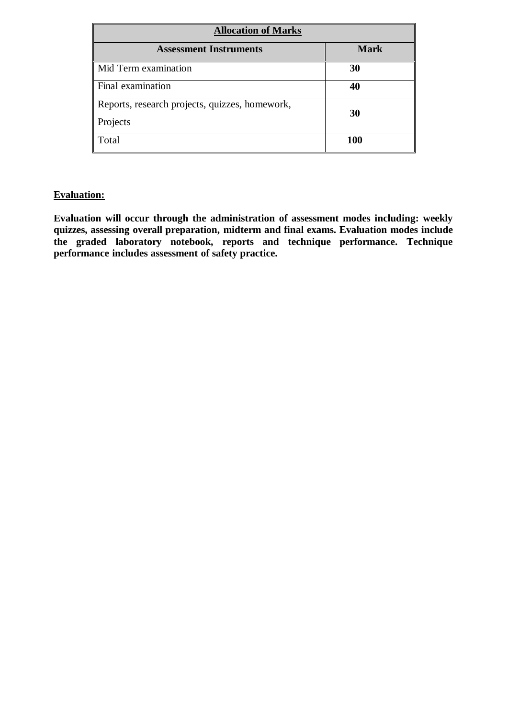| <b>Allocation of Marks</b>                                 |             |  |  |
|------------------------------------------------------------|-------------|--|--|
| <b>Assessment Instruments</b>                              | <b>Mark</b> |  |  |
| Mid Term examination                                       | 30          |  |  |
| Final examination                                          | 40          |  |  |
| Reports, research projects, quizzes, homework,<br>Projects | 30          |  |  |
| Total                                                      | <b>100</b>  |  |  |

# **Evaluation:**

**Evaluation will occur through the administration of assessment modes including: weekly quizzes, assessing overall preparation, midterm and final exams. Evaluation modes include the graded laboratory notebook, reports and technique performance. Technique performance includes assessment of safety practice.**